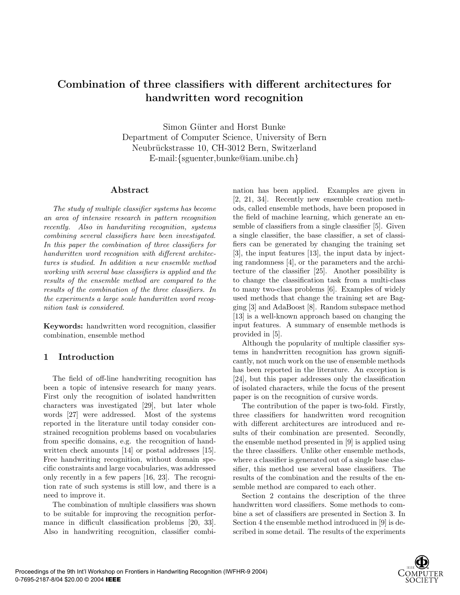# **Combination of three classifiers with different architectures for handwritten word recognition**

Simon Günter and Horst Bunke Department of Computer Science, University of Bern Neubrückstrasse 10, CH-3012 Bern, Switzerland E-mail:*{*sguenter,bunke@iam.unibe.ch*}*

#### **Abstract**

*The study of multiple classifier systems has become an area of intensive research in pattern recognition recently. Also in handwriting recognition, systems combining several classifiers have been investigated. In this paper the combination of three classifiers for handwritten word recognition with different architectures is studied. In addition a new ensemble method working with several base classifiers is applied and the results of the ensemble method are compared to the results of the combination of the three classifiers. In the experiments a large scale handwritten word recognition task is considered.*

**Keywords:** handwritten word recognition, classifier combination, ensemble method

#### **1 Introduction**

The field of off-line handwriting recognition has been a topic of intensive research for many years. First only the recognition of isolated handwritten characters was investigated [29], but later whole words [27] were addressed. Most of the systems reported in the literature until today consider constrained recognition problems based on vocabularies from specific domains, e.g. the recognition of handwritten check amounts [14] or postal addresses [15]. Free handwriting recognition, without domain specific constraints and large vocabularies, was addressed only recently in a few papers [16, 23]. The recognition rate of such systems is still low, and there is a need to improve it.

The combination of multiple classifiers was shown to be suitable for improving the recognition performance in difficult classification problems [20, 33]. Also in handwriting recognition, classifier combination has been applied. Examples are given in [2, 21, 34]. Recently new ensemble creation methods, called ensemble methods, have been proposed in the field of machine learning, which generate an ensemble of classifiers from a single classifier [5]. Given a single classifier, the base classifier, a set of classifiers can be generated by changing the training set [3], the input features [13], the input data by injecting randomness [4], or the parameters and the architecture of the classifier [25]. Another possibility is to change the classification task from a multi-class to many two-class problems [6]. Examples of widely used methods that change the training set are Bagging [3] and AdaBoost [8]. Random subspace method [13] is a well-known approach based on changing the input features. A summary of ensemble methods is provided in [5].

Although the popularity of multiple classifier systems in handwritten recognition has grown significantly, not much work on the use of ensemble methods has been reported in the literature. An exception is [24], but this paper addresses only the classification of isolated characters, while the focus of the present paper is on the recognition of cursive words.

The contribution of the paper is two-fold. Firstly, three classifiers for handwritten word recognition with different architectures are introduced and results of their combination are presented. Secondly, the ensemble method presented in [9] is applied using the three classifiers. Unlike other ensemble methods, where a classifier is generated out of a single base classifier, this method use several base classifiers. The results of the combination and the results of the ensemble method are compared to each other.

Section 2 contains the description of the three handwritten word classifiers. Some methods to combine a set of classifiers are presented in Section 3. In Section 4 the ensemble method introduced in [9] is described in some detail. The results of the experiments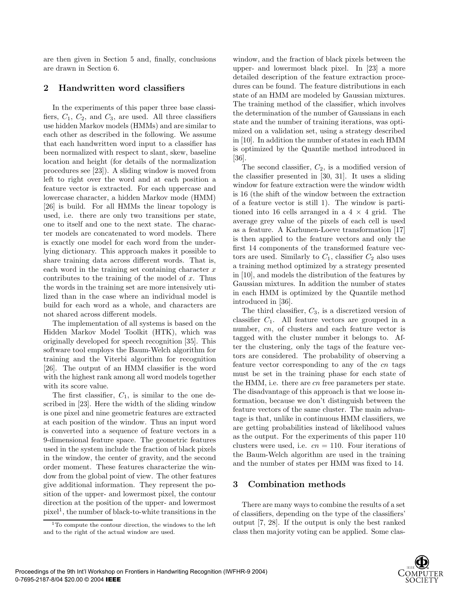are then given in Section 5 and, finally, conclusions are drawn in Section 6.

# **2 Handwritten word classifiers**

In the experiments of this paper three base classifiers,  $C_1$ ,  $C_2$ , and  $C_3$ , are used. All three classifiers use hidden Markov models (HMMs) and are similar to each other as described in the following. We assume that each handwritten word input to a classifier has been normalized with respect to slant, skew, baseline location and height (for details of the normalization procedures see [23]). A sliding window is moved from left to right over the word and at each position a feature vector is extracted. For each uppercase and lowercase character, a hidden Markov mode (HMM) [26] is build. For all HMMs the linear topology is used, i.e. there are only two transitions per state, one to itself and one to the next state. The character models are concatenated to word models. There is exactly one model for each word from the underlying dictionary. This approach makes it possible to share training data across different words. That is, each word in the training set containing character *x* contributes to the training of the model of *x*. Thus the words in the training set are more intensively utilized than in the case where an individual model is build for each word as a whole, and characters are not shared across different models.

The implementation of all systems is based on the Hidden Markov Model Toolkit (HTK), which was originally developed for speech recognition [35]. This software tool employs the Baum-Welch algorithm for training and the Viterbi algorithm for recognition [26]. The output of an HMM classifier is the word with the highest rank among all word models together with its score value.

The first classifier, *C*1, is similar to the one described in [23]. Here the width of the sliding window is one pixel and nine geometric features are extracted at each position of the window. Thus an input word is converted into a sequence of feature vectors in a 9-dimensional feature space. The geometric features used in the system include the fraction of black pixels in the window, the center of gravity, and the second order moment. These features characterize the window from the global point of view. The other features give additional information. They represent the position of the upper- and lowermost pixel, the contour direction at the position of the upper- and lowermost  $pixel<sup>1</sup>$ , the number of black-to-white transitions in the window, and the fraction of black pixels between the upper- and lowermost black pixel. In [23] a more detailed description of the feature extraction procedures can be found. The feature distributions in each state of an HMM are modeled by Gaussian mixtures. The training method of the classifier, which involves the determination of the number of Gaussians in each state and the number of training iterations, was optimized on a validation set, using a strategy described in [10]. In addition the number of states in each HMM is optimized by the Quantile method introduced in [36].

The second classifier, *C*2, is a modified version of the classifier presented in [30, 31]. It uses a sliding window for feature extraction were the window width is 16 (the shift of the window between the extraction of a feature vector is still 1). The window is partitioned into 16 cells arranged in a 4 *×* 4 grid. The average grey value of the pixels of each cell is used as a feature. A Karhunen-Loeve transformation [17] is then applied to the feature vectors and only the first 14 components of the transformed feature vectors are used. Similarly to  $C_1$ , classifier  $C_2$  also uses a training method optimized by a strategy presented in [10], and models the distribution of the features by Gaussian mixtures. In addition the number of states in each HMM is optimized by the Quantile method introduced in [36].

The third classifier, *C*3, is a discretized version of classifier *C*1. All feature vectors are grouped in a number, *cn*, of clusters and each feature vector is tagged with the cluster number it belongs to. After the clustering, only the tags of the feature vectors are considered. The probability of observing a feature vector corresponding to any of the *cn* tags must be set in the training phase for each state of the HMM, i.e. there are *cn* free parameters per state. The disadvantage of this approach is that we loose information, because we don't distinguish between the feature vectors of the same cluster. The main advantage is that, unlike in continuous HMM classifiers, we are getting probabilities instead of likelihood values as the output. For the experiments of this paper 110 clusters were used, i.e.  $cn = 110$ . Four iterations of the Baum-Welch algorithm are used in the training and the number of states per HMM was fixed to 14.

# **3 Combination methods**

There are many ways to combine the results of a set of classifiers, depending on the type of the classifiers' output [7, 28]. If the output is only the best ranked class then majority voting can be applied. Some clas-



<sup>1</sup>To compute the contour direction, the windows to the left and to the right of the actual window are used.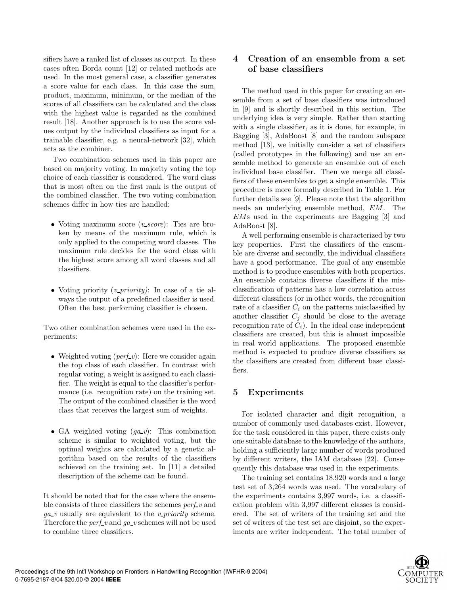sifiers have a ranked list of classes as output. In these cases often Borda count [12] or related methods are used. In the most general case, a classifier generates a score value for each class. In this case the sum, product, maximum, minimum, or the median of the scores of all classifiers can be calculated and the class with the highest value is regarded as the combined result [18]. Another approach is to use the score values output by the individual classifiers as input for a trainable classifier, e.g. a neural-network [32], which acts as the combiner.

Two combination schemes used in this paper are based on majority voting. In majority voting the top choice of each classifier is considered. The word class that is most often on the first rank is the output of the combined classifier. The two voting combination schemes differ in how ties are handled:

- *•* Voting maximum score (*v score*): Ties are broken by means of the maximum rule, which is only applied to the competing word classes. The maximum rule decides for the word class with the highest score among all word classes and all classifiers.
- *•* Voting priority (*v priority)*: In case of a tie always the output of a predefined classifier is used. Often the best performing classifier is chosen.

Two other combination schemes were used in the experiments:

- Weighted voting (*perf*<sub>v</sub>): Here we consider again the top class of each classifier. In contrast with regular voting, a weight is assigned to each classifier. The weight is equal to the classifier's performance (i.e. recognition rate) on the training set. The output of the combined classifier is the word class that receives the largest sum of weights.
- GA weighted voting  $(ga_v)$ : This combination scheme is similar to weighted voting, but the optimal weights are calculated by a genetic algorithm based on the results of the classifiers achieved on the training set. In [11] a detailed description of the scheme can be found.

It should be noted that for the case where the ensemble consists of three classifiers the schemes *perf v* and *ga v* usually are equivalent to the *v priority* scheme. Therefore the *perf v* and *ga v* schemes will not be used to combine three classifiers.

# **4 Creation of an ensemble from a set of base classifiers**

The method used in this paper for creating an ensemble from a set of base classifiers was introduced in [9] and is shortly described in this section. The underlying idea is very simple. Rather than starting with a single classifier, as it is done, for example, in Bagging [3], AdaBoost [8] and the random subspace method [13], we initially consider a set of classifiers (called prototypes in the following) and use an ensemble method to generate an ensemble out of each individual base classifier. Then we merge all classifiers of these ensembles to get a single ensemble. This procedure is more formally described in Table 1. For further details see [9]. Please note that the algorithm needs an underlying ensemble method, *EM*. The *EM*s used in the experiments are Bagging [3] and AdaBoost [8].

A well performing ensemble is characterized by two key properties. First the classifiers of the ensemble are diverse and secondly, the individual classifiers have a good performance. The goal of any ensemble method is to produce ensembles with both properties. An ensemble contains diverse classifiers if the misclassification of patterns has a low correlation across different classifiers (or in other words, the recognition rate of a classifier  $C_i$  on the patterns misclassified by another classifier  $C_i$  should be close to the average recognition rate of  $C_i$ ). In the ideal case independent classifiers are created, but this is almost impossible in real world applications. The proposed ensemble method is expected to produce diverse classifiers as the classifiers are created from different base classifiers.

# **5 Experiments**

For isolated character and digit recognition, a number of commonly used databases exist. However, for the task considered in this paper, there exists only one suitable database to the knowledge of the authors, holding a sufficiently large number of words produced by different writers, the IAM database [22]. Consequently this database was used in the experiments.

The training set contains 18,920 words and a large test set of 3,264 words was used. The vocabulary of the experiments contains 3,997 words, i.e. a classification problem with 3,997 different classes is considered. The set of writers of the training set and the set of writers of the test set are disjoint, so the experiments are writer independent. The total number of

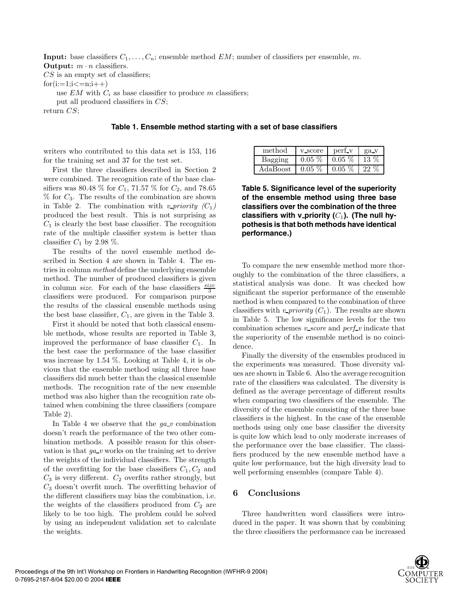**Input:** base classifiers *C*1*,...,Cn*; ensemble method *EM*; number of classifiers per ensemble, *m*. **Output:**  $m \cdot n$  classifiers.

*CS* is an empty set of classifiers;

 $for(i:=1;i<=n;i++)$ 

use  $EM$  with  $C_i$  as base classifier to produce m classifiers;

put all produced classifiers in *CS*;

return *CS*;

#### **Table 1. Ensemble method starting with a set of base classifiers**

writers who contributed to this data set is 153, 116 for the training set and 37 for the test set.

First the three classifiers described in Section 2 were combined. The recognition rate of the base classifiers was 80.48 % for  $C_1$ , 71.57 % for  $C_2$ , and 78.65 % for *C*3. The results of the combination are shown in Table 2. The combination with *v\_priority*  $(C_1)$ produced the best result. This is not surprising as  $C_1$  is clearly the best base classifier. The recognition rate of the multiple classifier system is better than classifier  $C_1$  by 2.98  $\%$ .

The results of the novel ensemble method described in Section 4 are shown in Table 4. The entries in column *method* define the underlying ensemble method. The number of produced classifiers is given in column *size*. For each of the base classifiers *size* 3 classifiers were produced. For comparison purpose the results of the classical ensemble methods using the best base classifier, *C*1, are given in the Table 3.

First it should be noted that both classical ensemble methods, whose results are reported in Table 3, improved the performance of base classifier  $C_1$ . In the best case the performance of the base classifier was increase by 1.54 %. Looking at Table 4, it is obvious that the ensemble method using all three base classifiers did much better than the classical ensemble methods. The recognition rate of the new ensemble method was also higher than the recognition rate obtained when combining the three classifiers (compare Table 2).

In Table 4 we observe that the *ga v* combination doesn't reach the performance of the two other combination methods. A possible reason for this observation is that  $qa_{\text{-}}v$  works on the training set to derive the weights of the individual classifiers. The strength of the overfitting for the base classifiers  $C_1, C_2$  and  $C_3$  is very different.  $C_2$  overfits rather strongly, but *C*<sup>3</sup> doesn't overfit much. The overfitting behavior of the different classifiers may bias the combination, i.e. the weights of the classifiers produced from  $C_2$  are likely to be too high. The problem could be solved by using an independent validation set to calculate the weights.

| method   | y score  | perf y   | ga_v          |
|----------|----------|----------|---------------|
|          | $0.05\%$ | $0.05\%$ | 13            |
| AdaBoost | $0.05\%$ | $0.05\%$ | $\cdot$ , , , |

**Table 5. Significance level of the superiority of the ensemble method using three base classifiers over the combination of the three** classifiers with v\_priority  $(C_1)$ . (The null hy**pothesis is that both methods have identical performance.)**

To compare the new ensemble method more thoroughly to the combination of the three classifiers, a statistical analysis was done. It was checked how significant the superior performance of the ensemble method is when compared to the combination of three classifiers with *v\_priority*  $(C_1)$ . The results are shown in Table 5. The low significance levels for the two combination schemes *v score* and *perf v* indicate that the superiority of the ensemble method is no coincidence.

Finally the diversity of the ensembles produced in the experiments was measured. Those diversity values are shown in Table 6. Also the average recognition rate of the classifiers was calculated. The diversity is defined as the average percentage of different results when comparing two classifiers of the ensemble. The diversity of the ensemble consisting of the three base classifiers is the highest. In the case of the ensemble methods using only one base classifier the diversity is quite low which lead to only moderate increases of the performance over the base classifier. The classifiers produced by the new ensemble method have a quite low performance, but the high diversity lead to well performing ensembles (compare Table 4).

#### **6 Conclusions**

Three handwritten word classifiers were introduced in the paper. It was shown that by combining the three classifiers the performance can be increased

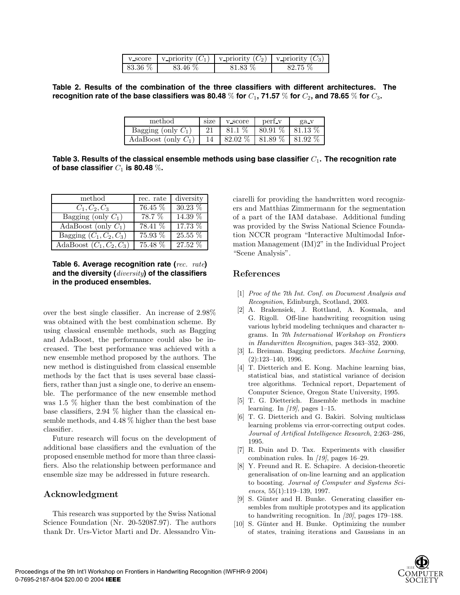|             | v score   v priority $(C_1)$   v priority $(C_2)$   v priority $(C_3)$ |         |         |
|-------------|------------------------------------------------------------------------|---------|---------|
| $83.36\ \%$ | 83.46 %                                                                | 81.83 % | 82 75 % |

**Table 2. Results of the combination of the three classifiers with different architectures. The recognition rate of the base classifiers was 80.48** % for  $C_1$ , 71.57 % for  $C_2$ , and 78.65 % for  $C_3$ .

| method                 | size | v_score      | perf y  | ga v       |
|------------------------|------|--------------|---------|------------|
| Bagging (only $C_1$ )  |      | $\%$<br>81.1 | 80.91 % | $-81.13\%$ |
| AdaBoost (only $C_1$ ) |      | 82.02 %      | 81.89 % | 81.92 %    |

**Table 3. Results of the classical ensemble methods using base classifier** *C*1**. The recognition rate of base classifier**  $C_1$  **is 80.48** %.

| $\operatorname{method}$                     | rec. rate | diversity |
|---------------------------------------------|-----------|-----------|
| $C_1, C_2, C_3$                             | 76.45 %   | 30.23%    |
| Bagging (only $C_1$ )                       | 78.7 %    | 14.39 %   |
| AdaBoost (only $C_1$ )                      | 78.41 %   | 17.73 %   |
| Bagging $(C_1, C_2, C_3)$                   | 75.93 %   | 25.55 %   |
| $\overline{\text{AdaBoost}}(C_1, C_2, C_3)$ | 75.48 %   | 27.52 %   |

**Table 6. Average recognition rate (***rec. rate***) and the diversity (***diversity***) of the classifiers in the produced ensembles.**

over the best single classifier. An increase of 2*.*98% was obtained with the best combination scheme. By using classical ensemble methods, such as Bagging and AdaBoost, the performance could also be increased. The best performance was achieved with a new ensemble method proposed by the authors. The new method is distinguished from classical ensemble methods by the fact that is uses several base classifiers, rather than just a single one, to derive an ensemble. The performance of the new ensemble method was 1.5 % higher than the best combination of the base classifiers, 2.94 % higher than the classical ensemble methods, and 4.48 % higher than the best base classifier.

Future research will focus on the development of additional base classifiers and the evaluation of the proposed ensemble method for more than three classifiers. Also the relationship between performance and ensemble size may be addressed in future research.

# **Acknowledgment**

This research was supported by the Swiss National Science Foundation (Nr. 20-52087.97). The authors thank Dr. Urs-Victor Marti and Dr. Alessandro Vinciarelli for providing the handwritten word recognizers and Matthias Zimmermann for the segmentation of a part of the IAM database. Additional funding was provided by the Swiss National Science Foundation NCCR program "Interactive Multimodal Information Management (IM)2" in the Individual Project "Scene Analysis".

#### **References**

- [1] Proc of the 7th Int. Conf. on Document Analysis and Recognition, Edinburgh, Scotland, 2003.
- [2] A. Brakensiek, J. Rottland, A. Kosmala, and G. Rigoll. Off-line handwriting recognition using various hybrid modeling techniques and character ngrams. In 7th International Workshop on Frontiers in Handwritten Recognition, pages 343–352, 2000.
- [3] L. Breiman. Bagging predictors. Machine Learning, (2):123–140, 1996.
- [4] T. Dietterich and E. Kong. Machine learning bias, statistical bias, and statistical variance of decision tree algorithms. Technical report, Departement of Computer Science, Oregon State University, 1995.
- [5] T. G. Dietterich. Ensemble methods in machine learning. In  $\langle 19 \rangle$ , pages 1–15.
- [6] T. G. Dietterich and G. Bakiri. Solving multiclass learning problems via error-correcting output codes. Journal of Artifical Intelligence Research, 2:263–286, 1995.
- [7] R. Duin and D. Tax. Experiments with classifier combination rules. In  $\langle 19 \rangle$ , pages 16–29.
- [8] Y. Freund and R. E. Schapire. A decision-theoretic generalisation of on-line learning and an application to boosting. Journal of Computer and Systems Sciences, 55(1):119–139, 1997.
- [9] S. Günter and H. Bunke. Generating classifier ensembles from multiple prototypes and its application to handwriting recognition. In [20], pages 179–188.
- [10] S. Günter and H. Bunke. Optimizing the number of states, training iterations and Gaussians in an